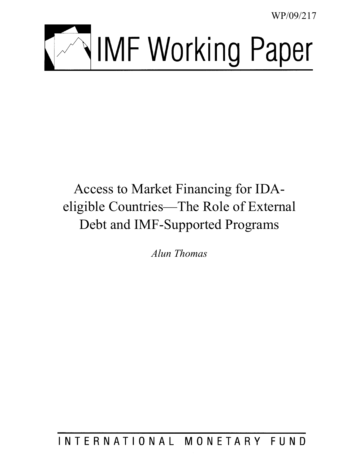WP/09/217



# Access to Market Financing for IDAeligible Countries—The Role of External Debt and IMF-Supported Programs

*Alun Thomas* 

INTERNATIONAL MONETARY FUND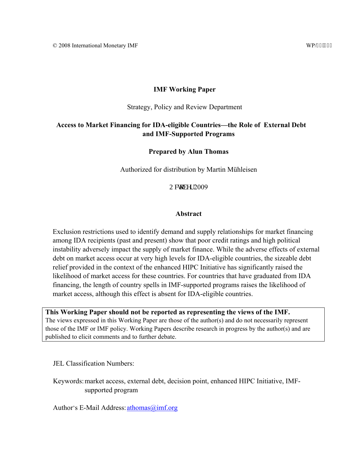## **IMF Working Paper**

Strategy, Policy and Review Department

# **Access to Market Financing for IDA-eligible Countries—the Role of External Debt and IMF-Supported Programs**

## **Prepared by Alun Thomas**

Authorized for distribution by Martin Mühleisen

Oevqdgt 2009

#### **Abstract**

Exclusion restrictions used to identify demand and supply relationships for market financing among IDA recipients (past and present) show that poor credit ratings and high political instability adversely impact the supply of market finance. While the adverse effects of external debt on market access occur at very high levels for IDA-eligible countries, the sizeable debt relief provided in the context of the enhanced HIPC Initiative has significantly raised the likelihood of market access for these countries. For countries that have graduated from IDA financing, the length of country spells in IMF-supported programs raises the likelihood of market access, although this effect is absent for IDA-eligible countries.

**This Working Paper should not be reported as representing the views of the IMF.** The views expressed in this Working Paper are those of the author(s) and do not necessarily represent those of the IMF or IMF policy. Working Papers describe research in progress by the author(s) and are published to elicit comments and to further debate.

JEL Classification Numbers:

Keywords: market access, external debt, decision point, enhanced HIPC Initiative, IMFsupported program

Author's E-Mail Address:  $athomas@imf.org$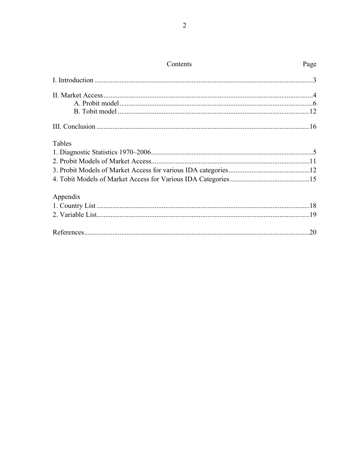| Contents | Page |
|----------|------|
|          |      |
|          |      |
|          |      |
|          |      |
|          |      |
| Tables   |      |
|          |      |
|          |      |
|          |      |
|          |      |
| Appendix |      |
|          |      |
|          |      |
|          | .20  |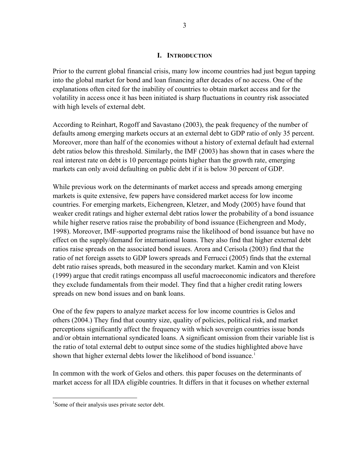## **I. INTRODUCTION**

<span id="page-4-0"></span>Prior to the current global financial crisis, many low income countries had just begun tapping into the global market for bond and loan financing after decades of no access. One of the explanations often cited for the inability of countries to obtain market access and for the volatility in access once it has been initiated is sharp fluctuations in country risk associated with high levels of external debt.

According to Reinhart, Rogoff and Savastano (2003), the peak frequency of the number of defaults among emerging markets occurs at an external debt to GDP ratio of only 35 percent. Moreover, more than half of the economies without a history of external default had external debt ratios below this threshold. Similarly, the IMF (2003) has shown that in cases where the real interest rate on debt is 10 percentage points higher than the growth rate, emerging markets can only avoid defaulting on public debt if it is below 30 percent of GDP.

While previous work on the determinants of market access and spreads among emerging markets is quite extensive, few papers have considered market access for low income countries. For emerging markets, Eichengreen, Kletzer, and Mody (2005) have found that weaker credit ratings and higher external debt ratios lower the probability of a bond issuance while higher reserve ratios raise the probability of bond issuance (Eichengreen and Mody, 1998). Moreover, IMF-supported programs raise the likelihood of bond issuance but have no effect on the supply/demand for international loans. They also find that higher external debt ratios raise spreads on the associated bond issues. Arora and Cerisola (2003) find that the ratio of net foreign assets to GDP lowers spreads and Ferrucci (2005) finds that the external debt ratio raises spreads, both measured in the secondary market. Kamin and von Kleist (1999) argue that credit ratings encompass all useful macroeconomic indicators and therefore they exclude fundamentals from their model. They find that a higher credit rating lowers spreads on new bond issues and on bank loans.

One of the few papers to analyze market access for low income countries is Gelos and others (2004.) They find that country size, quality of policies, political risk, and market perceptions significantly affect the frequency with which sovereign countries issue bonds and/or obtain international syndicated loans. A significant omission from their variable list is the ratio of total external debt to output since some of the studies highlighted above have shown that higher external debts lower the likelihood of bond issuance.<sup>[1](#page-4-1)</sup>

In common with the work of Gelos and others. this paper focuses on the determinants of market access for all IDA eligible countries. It differs in that it focuses on whether external

 $\overline{a}$ 

<span id="page-4-1"></span><sup>&</sup>lt;sup>1</sup>Some of their analysis uses private sector debt.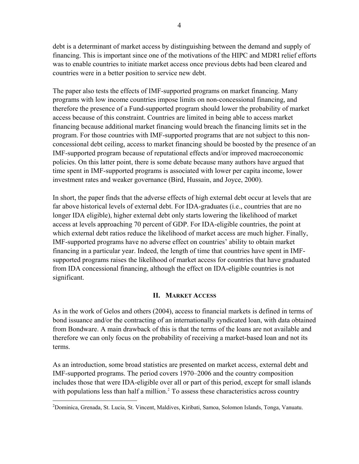debt is a determinant of market access by distinguishing between the demand and supply of financing. This is important since one of the motivations of the HIPC and MDRI relief efforts was to enable countries to initiate market access once previous debts had been cleared and countries were in a better position to service new debt.

The paper also tests the effects of IMF-supported programs on market financing. Many programs with low income countries impose limits on non-concessional financing, and therefore the presence of a Fund-supported program should lower the probability of market access because of this constraint. Countries are limited in being able to access market financing because additional market financing would breach the financing limits set in the program. For those countries with IMF-supported programs that are not subject to this nonconcessional debt ceiling, access to market financing should be boosted by the presence of an IMF-supported program because of reputational effects and/or improved macroeconomic policies. On this latter point, there is some debate because many authors have argued that time spent in IMF-supported programs is associated with lower per capita income, lower investment rates and weaker governance (Bird, Hussain, and Joyce, 2000).

In short, the paper finds that the adverse effects of high external debt occur at levels that are far above historical levels of external debt. For IDA-graduates (i.e., countries that are no longer IDA eligible), higher external debt only starts lowering the likelihood of market access at levels approaching 70 percent of GDP. For IDA-eligible countries, the point at which external debt ratios reduce the likelihood of market access are much higher. Finally, IMF-supported programs have no adverse effect on countries' ability to obtain market financing in a particular year. Indeed, the length of time that countries have spent in IMFsupported programs raises the likelihood of market access for countries that have graduated from IDA concessional financing, although the effect on IDA-eligible countries is not significant.

# **II. MARKET ACCESS**

<span id="page-5-0"></span>As in the work of Gelos and others (2004), access to financial markets is defined in terms of bond issuance and/or the contracting of an internationally syndicated loan, with data obtained from Bondware. A main drawback of this is that the terms of the loans are not available and therefore we can only focus on the probability of receiving a market-based loan and not its terms.

As an introduction, some broad statistics are presented on market access, external debt and IMF-supported programs. The period covers 1970–2006 and the country composition includes those that were IDA-eligible over all or part of this period, except for small islands with populations less than half a million.<sup>[2](#page-5-1)</sup> To assess these characteristics across country

<span id="page-5-1"></span><sup>&</sup>lt;u>.</u> 2 Dominica, Grenada, St. Lucia, St. Vincent, Maldives, Kiribati, Samoa, Solomon Islands, Tonga, Vanuatu.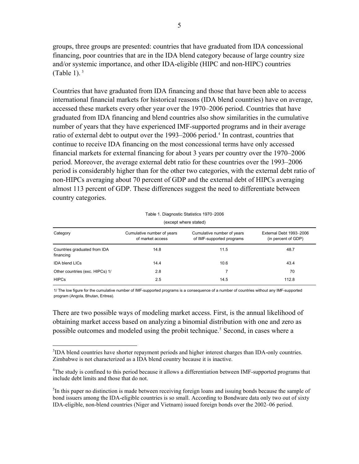groups, three groups are presented: countries that have graduated from IDA concessional financing, poor countries that are in the IDA blend category because of large country size and/or systemic importance, and other IDA-eligible (HIPC and non-HIPC) countries (Table 1). $3$ 

Countries that have graduated from IDA financing and those that have been able to access international financial markets for historical reasons (IDA blend countries) have on average, accessed these markets every other year over the 1970–2006 period. Countries that have graduated from IDA financing and blend countries also show similarities in the cumulative number of years that they have experienced IMF-supported programs and in their average ratio of external debt to output over the 1993–2006 period.<sup>4</sup> In contrast, countries that continue to receive IDA financing on the most concessional terms have only accessed financial markets for external financing for about 3 years per country over the 1970–2006 period. Moreover, the average external debt ratio for these countries over the 1993–2006 period is considerably higher than for the other two categories, with the external debt ratio of non-HIPCs averaging about 70 percent of GDP and the external debt of HIPCs averaging almost 113 percent of GDP. These differences suggest the need to differentiate between country categories.

Table 1. Diagnostic Statistics 1970–2006 (except where stated)

<span id="page-6-0"></span>

| Category                                  | Cumulative number of years<br>of market access | Cumulative number of years<br>of IMF-supported programs | External Debt 1993-2006<br>(in percent of GDP) |
|-------------------------------------------|------------------------------------------------|---------------------------------------------------------|------------------------------------------------|
| Countries graduated from IDA<br>financing | 14.8                                           | 11.5                                                    | 48.7                                           |
| <b>IDA blend LICs</b>                     | 14.4                                           | 10.6                                                    | 43.4                                           |
| Other countries (exc. HIPCs) 1/           | 2.8                                            |                                                         | 70                                             |
| <b>HIPCs</b>                              | 2.5                                            | 14.5                                                    | 112.8                                          |

1/ The low figure for the cumulative number of IMF-supported programs is a consequence of a number of countries without any IMF-supported program (Angola, Bhutan, Eritrea).

There are two possible ways of modeling market access. First, is the annual likelihood of obtaining market access based on analyzing a binomial distribution with one and zero as possible outcomes and modeled using the probit technique.<sup>5</sup> Second, in cases where a

 $\overline{a}$ 

<span id="page-6-1"></span><sup>&</sup>lt;sup>3</sup>IDA blend countries have shorter repayment periods and higher interest charges than IDA-only countries. Zimbabwe is not characterized as a IDA blend country because it is inactive.

<span id="page-6-2"></span><sup>&</sup>lt;sup>4</sup>The study is confined to this period because it allows a differentiation between IMF-supported programs that include debt limits and those that do not.

<span id="page-6-3"></span><sup>&</sup>lt;sup>5</sup>In this paper no distinction is made between receiving foreign loans and issuing bonds because the sample of bond issuers among the IDA-eligible countries is so small. According to Bondware data only two out of sixty IDA-eligible, non-blend countries (Niger and Vietnam) issued foreign bonds over the 2002–06 period.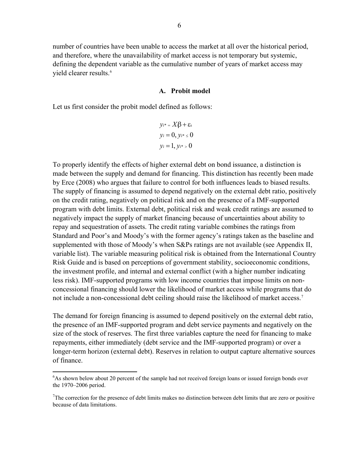number of countries have been unable to access the market at all over the historical perio d, and therefore, where the unavailability of market access is not temporary but systemic, defining the dependent variable as the cumulative number of years of market access may yield clearer results.<sup>6</sup>

#### **A. Probit model**

<span id="page-7-0"></span>Let us first consider the probit model defined as follows:

$$
y_{i^*} = X_i\beta + \varepsilon_1
$$

$$
y_i = 0, y_{i^*} \le 0
$$

$$
y_i = 1, y_{i^*} > 0
$$

To properly identify the effects of higher external debt on bond issuance, a distinction is made between the supply and demand for financing. This distinction has recently been made by Erce (2008) who argues that failure to control for both influences leads to biased results. The supply of financing is assumed to depend negatively on the external debt ratio, positively on the credit rating, negatively on political risk and on the presence of a IMF-supported program with debt limits. External debt, political risk and weak credit ratings are assumed to negatively impact the supply of market financing because of uncertainties about ability to repay and sequestration of assets. The credit rating variable combines the ratings from Standard and Poor's and Moody's with the former agency's ratings taken as the baseline and supplemented with those of Moody's when S&Ps ratings are not available (see Appendix II, variable list). The variable measuring political risk is obtained from the International Country Risk Guide and is based on perceptions of government stability, socioeconomic conditions, the investment profile, and internal and external conflict (with a higher number indicating less risk). IMF-supported programs with low income countries that impose limits on nonconcessional financing should lower the likelihood of market access while programs that do not include a non-concessional debt ceiling should raise the likelihood of market access.<sup>[7](#page-7-1)</sup>

The demand for foreign financing is assumed to depend positively on the external debt ratio, the presence of an IMF-supported program and debt service payments and negatively on the size of the stock of reserves. The first three variables capture the need for financing to make repayments, either immediately (debt service and the IMF-supported program) or over a longer-term horizon (external debt). Reserves in relation to output capture alternative sources of finance.

1

<sup>&</sup>lt;sup>6</sup>As shown below about 20 percent of the sample had not received foreign loans or issued foreign bonds over the 1970–2006 period.

<span id="page-7-1"></span> $7$ The correction for the presence of debt limits makes no distinction between debt limits that are zero or positive because of data limitations.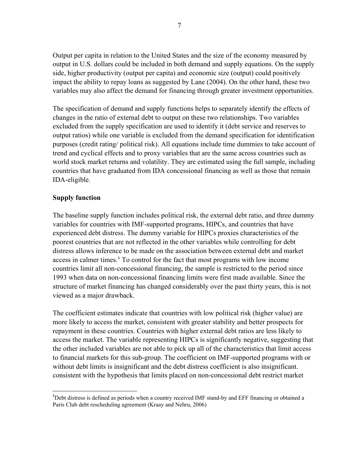Output per capita in relation to the United States and the size of the economy measured by output in U.S. dollars could be included in both demand and supply equations. On the supply side, higher productivity (output per capita) and economic size (output) could positively impact the ability to repay loans as suggested by Lane (2004). On the other hand, these two variables may also affect the demand for financing through greater investment opportunities.

The specification of demand and supply functions helps to separately identify the effects of changes in the ratio of external debt to output on these two relationships. Two variables excluded from the supply specification are used to identify it (debt service and reserves to output ratios) while one variable is excluded from the demand specification for identification purposes (credit rating/ political risk). All equations include time dummies to take account of trend and cyclical effects and to proxy variables that are the same across countries such as world stock market returns and volatility. They are estimated using the full sample, including countries that have graduated from IDA concessional financing as well as those that remain IDA-eligible.

## **Supply function**

<u>.</u>

The baseline supply function includes political risk, the external debt ratio, and three dummy variables for countries with IMF-supported programs, HIPCs, and countries that have experienced debt distress. The dummy variable for HIPCs proxies characteristics of the poorest countries that are not reflected in the other variables while controlling for debt distress allows inference to be made on the association between external debt and market access in calmer times.<sup>[8](#page-8-0)</sup> To control for the fact that most programs with low income countries limit all non-concessional financing, the sample is restricted to the period since 1993 when data on non-concessional financing limits were first made available. Since the structure of market financing has changed considerably over the past thirty years, this is not viewed as a major drawback.

The coefficient estimates indicate that countries with low political risk (higher value) are more likely to access the market, consistent with greater stability and better prospects for repayment in these countries. Countries with higher external debt ratios are less likely to access the market. The variable representing HIPCs is significantly negative, suggesting that the other included variables are not able to pick up all of the characteristics that limit access to financial markets for this sub-group. The coefficient on IMF-supported programs with or without debt limits is insignificant and the debt distress coefficient is also insignificant. consistent with the hypothesis that limits placed on non-concessional debt restrict market

<span id="page-8-0"></span><sup>&</sup>lt;sup>8</sup>Debt distress is defined as periods when a country received IMF stand-by and EFF financing or obtained a Paris Club debt rescheduling agreement (Kraay and Nehru, 2006)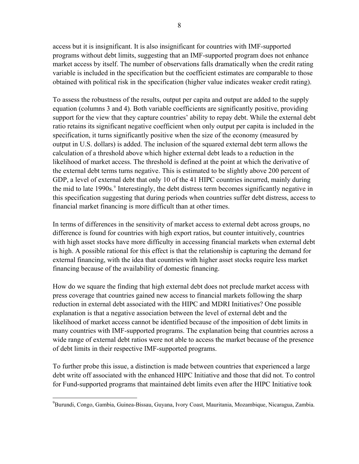access but it is insignificant. It is also insignificant for countries with IMF-supported programs without debt limits, suggesting that an IMF-supported program does not enhance market access by itself. The number of observations falls dramatically when the credit rating variable is included in the specification but the coefficient estimates are comparable to those obtained with political risk in the specification (higher value indicates weaker credit rating).

To assess the robustness of the results, output per capita and output are added to the supply equation (columns 3 and 4). Both variable coefficients are significantly positive, providing support for the view that they capture countries' ability to repay debt. While the external debt ratio retains its significant negative coefficient when only output per capita is included in the specification, it turns significantly positive when the size of the economy (measured by output in U.S. dollars) is added. The inclusion of the squared external debt term allows the calculation of a threshold above which higher external debt leads to a reduction in the likelihood of market access. The threshold is defined at the point at which the derivative of the external debt terms turns negative. This is estimated to be slightly above 200 percent of GDP, a level of external debt that only 10 of the 41 HIPC countries incurred, mainly during the mid to late 1[9](#page-9-0)90s.<sup>9</sup> Interestingly, the debt distress term becomes significantly negative in this specification suggesting that during periods when countries suffer debt distress, access to financial market financing is more difficult than at other times.

In terms of differences in the sensitivity of market access to external debt across groups, no difference is found for countries with high export ratios, but counter intuitively, countries with high asset stocks have more difficulty in accessing financial markets when external debt is high. A possible rational for this effect is that the relationship is capturing the demand for external financing, with the idea that countries with higher asset stocks require less market financing because of the availability of domestic financing.

How do we square the finding that high external debt does not preclude market access with press coverage that countries gained new access to financial markets following the sharp reduction in external debt associated with the HIPC and MDRI Initiatives? One possible explanation is that a negative association between the level of external debt and the likelihood of market access cannot be identified because of the imposition of debt limits in many countries with IMF-supported programs. The explanation being that countries across a wide range of external debt ratios were not able to access the market because of the presence of debt limits in their respective IMF-supported programs.

To further probe this issue, a distinction is made between countries that experienced a large debt write off associated with the enhanced HIPC Initiative and those that did not. To control for Fund-supported programs that maintained debt limits even after the HIPC Initiative took

<span id="page-9-0"></span> $\overline{a}$ 9 Burundi, Congo, Gambia, Guinea-Bissau, Guyana, Ivory Coast, Mauritania, Mozambique, Nicaragua, Zambia.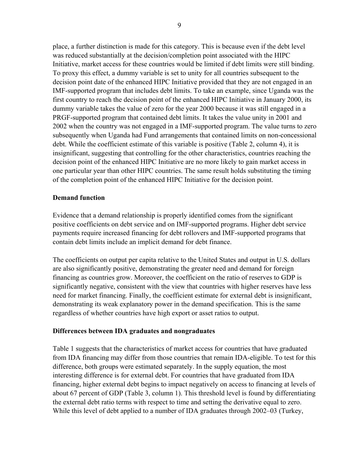place, a further distinction is made for this category. This is because even if the debt level was reduced substantially at the decision/completion point associated with the HIPC Initiative, market access for these countries would be limited if debt limits were still binding. To proxy this effect, a dummy variable is set to unity for all countries subsequent to the decision point date of the enhanced HIPC Initiative provided that they are not engaged in an IMF-supported program that includes debt limits. To take an example, since Uganda was the first country to reach the decision point of the enhanced HIPC Initiative in January 2000, its dummy variable takes the value of zero for the year 2000 because it was still engaged in a PRGF-supported program that contained debt limits. It takes the value unity in 2001 and 2002 when the country was not engaged in a IMF-supported program. The value turns to zero subsequently when Uganda had Fund arrangements that contained limits on non-concessional debt. While the coefficient estimate of this variable is positive (Table 2, column 4), it is insignificant, suggesting that controlling for the other characteristics, countries reaching the decision point of the enhanced HIPC Initiative are no more likely to gain market access in one particular year than other HIPC countries. The same result holds substituting the timing of the completion point of the enhanced HIPC Initiative for the decision point.

## **Demand function**

Evidence that a demand relationship is properly identified comes from the significant positive coefficients on debt service and on IMF-supported programs. Higher debt service payments require increased financing for debt rollovers and IMF-supported programs that contain debt limits include an implicit demand for debt finance.

The coefficients on output per capita relative to the United States and output in U.S. dollars are also significantly positive, demonstrating the greater need and demand for foreign financing as countries grow. Moreover, the coefficient on the ratio of reserves to GDP is significantly negative, consistent with the view that countries with higher reserves have less need for market financing. Finally, the coefficient estimate for external debt is insignificant, demonstrating its weak explanatory power in the demand specification. This is the same regardless of whether countries have high export or asset ratios to output.

## **Differences between IDA graduates and nongraduates**

Table 1 suggests that the characteristics of market access for countries that have graduated from IDA financing may differ from those countries that remain IDA-eligible. To test for this difference, both groups were estimated separately. In the supply equation, the most interesting difference is for external debt. For countries that have graduated from IDA financing, higher external debt begins to impact negatively on access to financing at levels of about 67 percent of GDP (Table 3, column 1). This threshold level is found by differentiating the external debt ratio terms with respect to time and setting the derivative equal to zero. While this level of debt applied to a number of IDA graduates through 2002–03 (Turkey,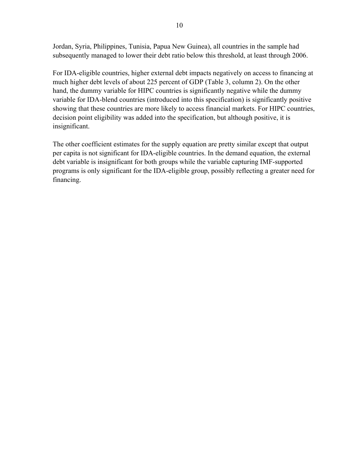Jordan, Syria, Philippines, Tunisia, Papua New Guinea), all countries in the sample had subsequently managed to lower their debt ratio below this threshold, at least through 2006.

For IDA-eligible countries, higher external debt impacts negatively on access to financing at much higher debt levels of about 225 percent of GDP (Table 3, column 2). On the other hand, the dummy variable for HIPC countries is significantly negative while the dummy variable for IDA-blend countries (introduced into this specification) is significantly positive showing that these countries are more likely to access financial markets. For HIPC countries, decision point eligibility was added into the specification, but although positive, it is insignificant.

The other coefficient estimates for the supply equation are pretty similar except that output per capita is not significant for IDA-eligible countries. In the demand equation, the external debt variable is insignificant for both groups while the variable capturing IMF-supported programs is only significant for the IDA-eligible group, possibly reflecting a greater need for financing.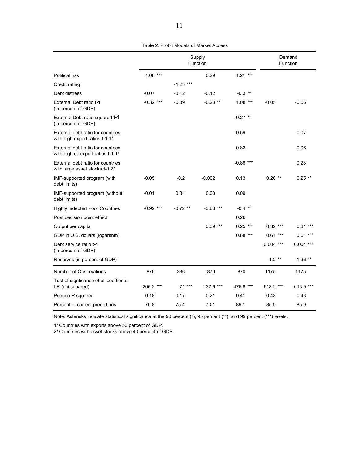<span id="page-12-0"></span>

|                                                                         | Supply<br>Function |             |             |             | Demand<br>Function |             |
|-------------------------------------------------------------------------|--------------------|-------------|-------------|-------------|--------------------|-------------|
| Political risk                                                          | $1.08***$          |             | 0.29        | $1.21***$   |                    |             |
| Credit rating                                                           |                    | $-1.23$ *** |             |             |                    |             |
| Debt distress                                                           | $-0.07$            | $-0.12$     | $-0.12$     | $-0.3$ **   |                    |             |
| External Debt ratio t-1<br>(in percent of GDP)                          | $-0.32$ ***        | $-0.39$     | $-0.23$ **  | $1.08***$   | $-0.05$            | $-0.06$     |
| External Debt ratio squared t-1<br>(in percent of GDP)                  |                    |             |             | $-0.27$ **  |                    |             |
| External debt ratio for countries<br>with high export ratios t-1 1/     |                    |             |             | $-0.59$     |                    | 0.07        |
| External debt ratio for countries<br>with high oil export ratios t-1 1/ |                    |             |             | 0.83        |                    | $-0.06$     |
| External debt ratio for countries<br>with large asset stocks t-1 2/     |                    |             |             | $-0.88$ *** |                    | 0.28        |
| IMF-supported program (with<br>debt limits)                             | $-0.05$            | $-0.2$      | $-0.002$    | 0.13        | $0.26$ **          | $0.25$ **   |
| IMF-supported program (without<br>debt limits)                          | $-0.01$            | 0.31        | 0.03        | 0.09        |                    |             |
| <b>Highly Indebted Poor Countries</b>                                   | $-0.92$ ***        | $-0.72$ **  | $-0.68$ *** | $-0.4$ **   |                    |             |
| Post decision point effect                                              |                    |             |             | 0.26        |                    |             |
| Output per capita                                                       |                    |             | $0.39***$   | $0.25***$   | $0.32***$          | $0.31***$   |
| GDP in U.S. dollars (logarithm)                                         |                    |             |             | $0.68***$   | $0.61***$          | $0.61***$   |
| Debt service ratio t-1<br>(in percent of GDP)                           |                    |             |             |             | $0.004$ ***        | $0.004$ *** |
| Reserves (in percent of GDP)                                            |                    |             |             |             | $-1.2$ **          | $-1.36$ **  |
| Number of Observations                                                  | 870                | 336         | 870         | 870         | 1175               | 1175        |
| Test of signficance of all coeffients:<br>LR (chi squared)              | 206.2 ***          | $71***$     | 237.6 ***   | 475.8 ***   | 613.2 ***          | 613.9 ***   |
| Pseudo R squared                                                        | 0.18               | 0.17        | 0.21        | 0.41        | 0.43               | 0.43        |
| Percent of correct predictions                                          | 70.8               | 75.4        | 73.1        | 89.1        | 85.9               | 85.9        |

Table 2. Probit Models of Market Access

Note: Asterisks indicate statistical significance at the 90 percent (\*), 95 percent (\*\*), and 99 percent (\*\*\*) levels.

1/ Countries with exports above 50 percent of GDP.

2/ Countries with asset stocks above 40 percent of GDP.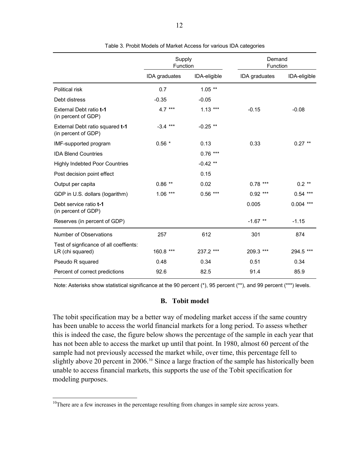<span id="page-13-1"></span>

|                                                            | Supply<br>Function |              | Demand<br>Function |              |  |
|------------------------------------------------------------|--------------------|--------------|--------------------|--------------|--|
|                                                            | IDA graduates      | IDA-eligible | IDA graduates      | IDA-eligible |  |
| Political risk                                             | 0.7                | $1.05$ **    |                    |              |  |
| Debt distress                                              | $-0.35$            | $-0.05$      |                    |              |  |
| External Debt ratio t-1<br>(in percent of GDP)             | 4.7 ***            | $1.13***$    | $-0.15$            | $-0.08$      |  |
| External Debt ratio squared t-1<br>(in percent of GDP)     | $-3.4***$          | $-0.25$ **   |                    |              |  |
| IMF-supported program                                      | $0.56*$            | 0.13         | 0.33               | $0.27$ **    |  |
| <b>IDA Blend Countries</b>                                 |                    | $0.76***$    |                    |              |  |
| <b>Highly Indebted Poor Countries</b>                      |                    | $-0.42$ **   |                    |              |  |
| Post decision point effect                                 |                    | 0.15         |                    |              |  |
| Output per capita                                          | $0.86$ **          | 0.02         | $0.78***$          | $0.2$ **     |  |
| GDP in U.S. dollars (logarithm)                            | $1.06***$          | $0.56***$    | $0.92$ ***         | $0.54***$    |  |
| Debt service ratio t-1<br>(in percent of GDP)              |                    |              | 0.005              | $0.004$ ***  |  |
| Reserves (in percent of GDP)                               |                    |              | $-1.67$ **         | $-1.15$      |  |
| Number of Observations                                     | 257                | 612          | 301                | 874          |  |
| Test of signficance of all coeffients:<br>LR (chi squared) | 160.8 ***          | 237.2 ***    | 209.3 ***          | 294.5 ***    |  |
| Pseudo R squared                                           | 0.48               | 0.34         | 0.51               | 0.34         |  |
| Percent of correct predictions                             | 92.6               | 82.5         | 91.4               | 85.9         |  |

Table 3. Probit Models of Market Access for various IDA categories

Note: Asterisks show statistical significance at the 90 percent (\*), 95 percent (\*\*), and 99 percent (\*\*\*) levels.

#### **B. Tobit model**

<span id="page-13-0"></span>The tobit specification may be a better way of modeling market access if the same country has been unable to access the world financial markets for a long period. To assess whether this is indeed the case, the figure below shows the percentage of the sample in each year that has not been able to access the market up until that point. In 1980, almost 60 percent of the sample had not previously accessed the market while, over time, this percentage fell to slightly above 20 percent in 2006.<sup>[10](#page-13-2)</sup> Since a large fraction of the sample has historically been unable to access financial markets, this supports the use of the Tobit specification for modeling purposes.

 $\overline{a}$ 

<span id="page-13-2"></span> $10$ There are a few increases in the percentage resulting from changes in sample size across years.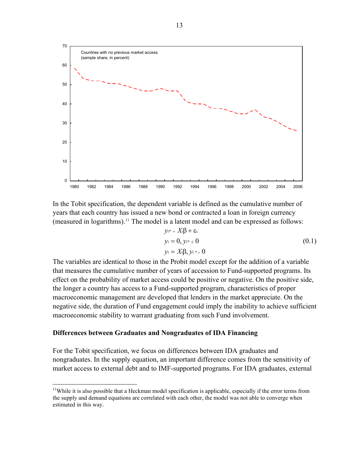

In the Tobit specification, the dependent variable is defined as the cumulative number of years that each country has issued a new bond or contracted a loan in foreign currency (measured in logarithms).<sup>[11](#page-14-0)</sup> The model is a latent model and can be expressed as follows:

$$
y_{i^*} = X_i \beta + \varepsilon_i
$$
  
\n
$$
y_i = 0, y_{i^*} \le 0
$$
  
\n
$$
y_i = X_i \beta, y_{i^*} > 0
$$
  
\n(0.1)

The variables are identical to those in the Probit model except for the addition of a variable that measures the cumulative number of years of accession to Fund-supported programs. Its effect on the probability of market access could be positive or negative. On the positive side, the longer a country has access to a Fund-supported program, characteristics of proper macroeconomic management are developed that lenders in the market appreciate. On the negative side, the duration of Fund engagement could imply the inability to achieve sufficient macroeconomic stability to warrant graduating from such Fund involvement.

#### **Differences between Graduates and Nongraduates of IDA Financing**

 $\overline{a}$ 

For the Tobit specification, we focus on differences between IDA graduates and nongraduates. In the supply equation, an important difference comes from the sensitivity of market access to external debt and to IMF-supported programs. For IDA graduates, external

<span id="page-14-0"></span><sup>&</sup>lt;sup>11</sup>While it is also possible that a Heckman model specification is applicable, especially if the error terms from the supply and demand equations are correlated with each other, the model was not able to converge when estimated in this way.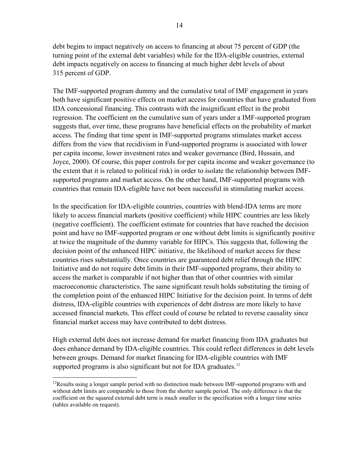debt begins to impact negatively on access to financing at about 75 percent of GDP (the turning point of the external debt variables) while for the IDA-eligible countries, external debt impacts negatively on access to financing at much higher debt levels of about 315 percent of GDP.

The IMF-supported program dummy and the cumulative total of IMF engagement in years both have significant positive effects on market access for countries that have graduated from IDA concessional financing. This contrasts with the insignificant effect in the probit regression. The coefficient on the cumulative sum of years under a IMF-supported program suggests that, over time, these programs have beneficial effects on the probability of market access. The finding that time spent in IMF-supported programs stimulates market access differs from the view that recidivism in Fund-supported programs is associated with lower per capita income, lower investment rates and weaker governance (Bird, Hussain, and Joyce, 2000). Of course, this paper controls for per capita income and weaker governance (to the extent that it is related to political risk) in order to isolate the relationship between IMFsupported programs and market access. On the other hand, IMF-supported programs with countries that remain IDA-eligible have not been successful in stimulating market access.

In the specification for IDA-eligible countries, countries with blend-IDA terms are more likely to access financial markets (positive coefficient) while HIPC countries are less likely (negative coefficient). The coefficient estimate for countries that have reached the decision point and have no IMF-supported program or one without debt limits is significantly positive at twice the magnitude of the dummy variable for HIPCs. This suggests that, following the decision point of the enhanced HIPC initiative, the likelihood of market access for these countries rises substantially. Once countries are guaranteed debt relief through the HIPC Initiative and do not require debt limits in their IMF-supported programs, their ability to access the market is comparable if not higher than that of other countries with similar macroeconomic characteristics. The same significant result holds substituting the timing of the completion point of the enhanced HIPC Initiative for the decision point. In terms of debt distress, IDA-eligible countries with experiences of debt distress are more likely to have accessed financial markets. This effect could of course be related to reverse causality since financial market access may have contributed to debt distress.

High external debt does not increase demand for market financing from IDA graduates but does enhance demand by IDA-eligible countries. This could reflect differences in debt levels between groups. Demand for market financing for IDA-eligible countries with IMF supported programs is also significant but not for IDA graduates.<sup>[12](#page-16-1)</sup>

 $\overline{a}$ <sup>12</sup>Results using a longer sample period with no distinction made between IMF-supported programs with and without debt limits are comparable to those from the shorter sample period. The only difference is that the coefficient on the squared external debt term is much smaller in the specification with a longer time series (tables available on request).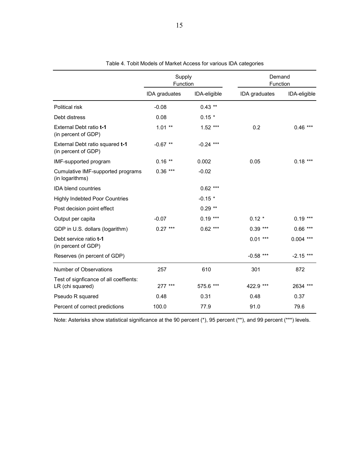<span id="page-16-0"></span>

|                                                            | Supply<br>Function |              | Demand<br>Function |              |
|------------------------------------------------------------|--------------------|--------------|--------------------|--------------|
|                                                            | IDA graduates      | IDA-eligible | IDA graduates      | IDA-eligible |
| Political risk                                             | $-0.08$            | $0.43$ **    |                    |              |
| Debt distress                                              | 0.08               | $0.15 *$     |                    |              |
| External Debt ratio t-1<br>(in percent of GDP)             | $1.01**$           | $1.52***$    | 0.2                | $0.46$ ***   |
| External Debt ratio squared t-1<br>(in percent of GDP)     | $-0.67$ **         | $-0.24$ ***  |                    |              |
| IMF-supported program                                      | $0.16$ **          | 0.002        | 0.05               | $0.18***$    |
| Cumulative IMF-supported programs<br>(in logarithms)       | $0.36***$          | $-0.02$      |                    |              |
| <b>IDA blend countries</b>                                 |                    | $0.62***$    |                    |              |
| <b>Highly Indebted Poor Countries</b>                      |                    | $-0.15$ *    |                    |              |
| Post decision point effect                                 |                    | $0.29**$     |                    |              |
| Output per capita                                          | $-0.07$            | $0.19***$    | $0.12 *$           | $0.19***$    |
| GDP in U.S. dollars (logarithm)                            | $0.27***$          | $0.62$ ***   | $0.39***$          | $0.66***$    |
| Debt service ratio t-1<br>(in percent of GDP)              |                    |              | $0.01***$          | $0.004$ ***  |
| Reserves (in percent of GDP)                               |                    |              | $-0.58$ ***        | $-2.15$ ***  |
| Number of Observations                                     | 257                | 610          | 301                | 872          |
| Test of signficance of all coeffients:<br>LR (chi squared) | $277***$           | 575.6 ***    | 422.9 ***          | 2634 ***     |
| Pseudo R squared                                           | 0.48               | 0.31         | 0.48               | 0.37         |
| Percent of correct predictions                             | 100.0              | 77.9         | 91.0               | 79.6         |

|  | Table 4. Tobit Models of Market Access for various IDA categories |  |  |  |  |
|--|-------------------------------------------------------------------|--|--|--|--|
|--|-------------------------------------------------------------------|--|--|--|--|

<span id="page-16-1"></span>Note: Asterisks show statistical significance at the 90 percent (\*), 95 percent (\*\*), and 99 percent (\*\*\*) levels.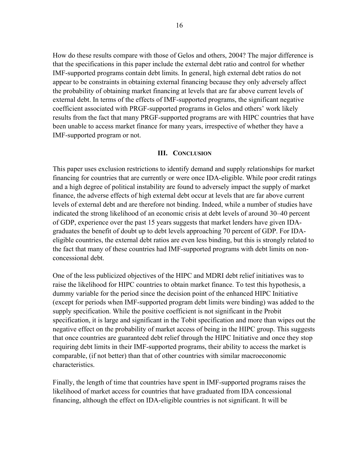How do these results compare with those of Gelos and others, 2004? The major difference is that the specifications in this paper include the external debt ratio and control for whether IMF-supported programs contain debt limits. In general, high external debt ratios do not appear to be constraints in obtaining external financing because they only adversely affect the probability of obtaining market financing at levels that are far above current levels of external debt. In terms of the effects of IMF-supported programs, the significant negative coefficient associated with PRGF-supported programs in Gelos and others' work likely results from the fact that many PRGF-supported programs are with HIPC countries that have been unable to access market finance for many years, irrespective of whether they have a IMF-supported program or not.

#### **III. CONCLUSION**

<span id="page-17-0"></span>This paper uses exclusion restrictions to identify demand and supply relationships for market financing for countries that are currently or were once IDA-eligible. While poor credit ratings and a high degree of political instability are found to adversely impact the supply of market finance, the adverse effects of high external debt occur at levels that are far above current levels of external debt and are therefore not binding. Indeed, while a number of studies have indicated the strong likelihood of an economic crisis at debt levels of around 30–40 percent of GDP, experience over the past 15 years suggests that market lenders have given IDAgraduates the benefit of doubt up to debt levels approaching 70 percent of GDP. For IDAeligible countries, the external debt ratios are even less binding, but this is strongly related to the fact that many of these countries had IMF-supported programs with debt limits on nonconcessional debt.

One of the less publicized objectives of the HIPC and MDRI debt relief initiatives was to raise the likelihood for HIPC countries to obtain market finance. To test this hypothesis, a dummy variable for the period since the decision point of the enhanced HIPC Initiative (except for periods when IMF-supported program debt limits were binding) was added to the supply specification. While the positive coefficient is not significant in the Probit specification, it is large and significant in the Tobit specification and more than wipes out the negative effect on the probability of market access of being in the HIPC group. This suggests that once countries are guaranteed debt relief through the HIPC Initiative and once they stop requiring debt limits in their IMF-supported programs, their ability to access the market is comparable, (if not better) than that of other countries with similar macroeconomic characteristics.

Finally, the length of time that countries have spent in IMF-supported programs raises the likelihood of market access for countries that have graduated from IDA concessional financing, although the effect on IDA-eligible countries is not significant. It will be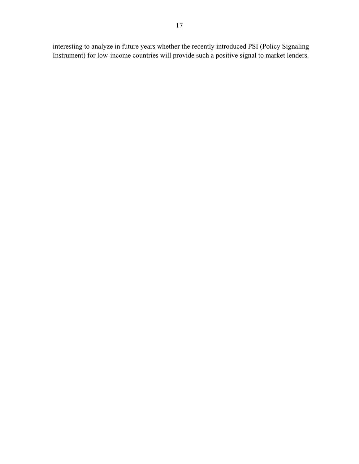interesting to analyze in future years whether the recently introduced PSI (Policy Signaling Instrument) for low-income countries will provide such a positive signal to market lenders.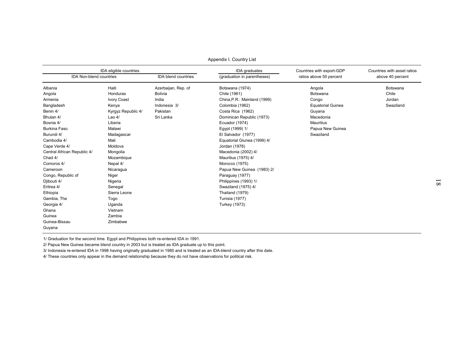|                                | IDA eligible countries |                     | IDA graduates                | Countries with export-GDP | Countries with asset ratios |
|--------------------------------|------------------------|---------------------|------------------------------|---------------------------|-----------------------------|
| <b>IDA Non-blend countries</b> |                        | IDA blend countries | (graduation in parentheses)  | ratios above 50 percent   | above 40 percent            |
| Albania                        | Haiti                  | Azerbaijan, Rep. of | Botswana (1974)              | Angola                    | Botswana                    |
| Angola                         | Honduras               | <b>Bolivia</b>      | Chile (1961)                 | Botswana                  | Chile                       |
| Armenia                        | <b>Ivory Coast</b>     | India               | China, P.R.: Mainland (1999) | Congo                     | Jordan                      |
| Bangladesh                     | Kenya                  | Indonesia 3/        | Colombia (1962)              | <b>Equatorial Guinea</b>  | Swaziland                   |
| Benin 4/                       | Kyrgyz Republic 4/     | Pakistan            | Costa Rica (1962)            | Guyana                    |                             |
| Bhutan 4/                      | Lao $4/$               | Sri Lanka           | Dominican Republic (1973)    | Macedonia                 |                             |
| Bosnia 4/                      | Liberia                |                     | Ecuador (1974)               | <b>Mauritius</b>          |                             |
| <b>Burkina Faso</b>            | Malawi                 |                     | Egypt (1999) 1/              | Papua New Guinea          |                             |
| Burundi 4/                     | Madagascar             |                     | El Salvador (1977)           | Swaziland                 |                             |
| Cambodia 4/                    | Mali                   |                     | Equatorial Giunea (1999) 4/  |                           |                             |
| Cape Verde 4/                  | Moldova                |                     | Jordan (1978)                |                           |                             |
| Central African Republic 4/    | Mongolia               |                     | Macedonia (2002) 4/          |                           |                             |
| Chad 4/                        | Mozambique             |                     | Mauritius (1975) 4/          |                           |                             |
| Comoros 4/                     | Nepal 4/               |                     | Morocco (1975)               |                           |                             |
| Cameroon                       | Nicaragua              |                     | Papua New Guinea (1983) 2/   |                           |                             |
| Congo, Republic of             | Niger                  |                     | Paraguay (1977)              |                           |                             |
| Djibouti 4/                    | Nigeria                |                     | Philippines (1993) 1/        |                           |                             |
| Eritrea 4/                     | Senegal                |                     | Swaziland (1975) 4/          |                           |                             |
| Ethiopia                       | Sierra Leone           |                     | Thailand (1979)              |                           |                             |
| Gambia, The                    | Togo                   |                     | <b>Tunisia (1977)</b>        |                           |                             |
| Georgia 4/                     | Uganda                 |                     | <b>Turkey (1973)</b>         |                           |                             |
| Ghana                          | Vietnam                |                     |                              |                           |                             |
| Guinea                         | Zambia                 |                     |                              |                           |                             |
| Guinea-Bissau                  | Zimbabwe               |                     |                              |                           |                             |
| Guyana                         |                        |                     |                              |                           |                             |

Appendix I. Country List

1/ Graduation for the second time. Egypt and Philippines both re-entered IDA in 1991.

2/ Papua New Guinea became blend country in 2003 but is treated as IDA graduate up to this point.

3/ Indonesia re-entered IDA in 1998 having originally graduated in 1980 and is treated as an IDA-blend country after this date.

4/ These countries only appear in the demand relationship because they do not have observations for political risk.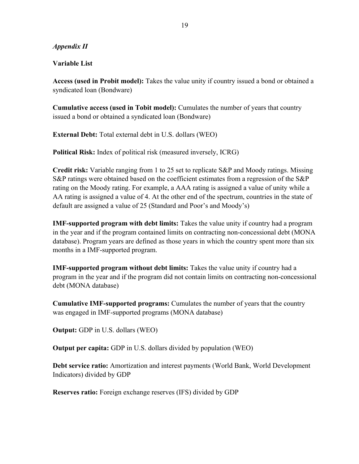## *Appendix II*

## **Variable List**

**Access (used in Probit model):** Takes the value unity if country issued a bond or obtained a syndicated loan (Bondware)

**Cumulative access (used in Tobit model):** Cumulates the number of years that country issued a bond or obtained a syndicated loan (Bondware)

**External Debt:** Total external debt in U.S. dollars (WEO)

**Political Risk:** Index of political risk (measured inversely, ICRG)

**Credit risk:** Variable ranging from 1 to 25 set to replicate S&P and Moody ratings. Missing S&P ratings were obtained based on the coefficient estimates from a regression of the S&P rating on the Moody rating. For example, a AAA rating is assigned a value of unity while a AA rating is assigned a value of 4. At the other end of the spectrum, countries in the state of default are assigned a value of 25 (Standard and Poor's and Moody's)

**IMF-supported program with debt limits:** Takes the value unity if country had a program in the year and if the program contained limits on contracting non-concessional debt (MONA database). Program years are defined as those years in which the country spent more than six months in a IMF-supported program.

**IMF-supported program without debt limits:** Takes the value unity if country had a program in the year and if the program did not contain limits on contracting non-concessional debt (MONA database)

**Cumulative IMF-supported programs:** Cumulates the number of years that the country was engaged in IMF-supported programs (MONA database)

**Output:** GDP in U.S. dollars (WEO)

**Output per capita:** GDP in U.S. dollars divided by population (WEO)

**Debt service ratio:** Amortization and interest payments (World Bank, World Development Indicators) divided by GDP

**Reserves ratio:** Foreign exchange reserves (IFS) divided by GDP